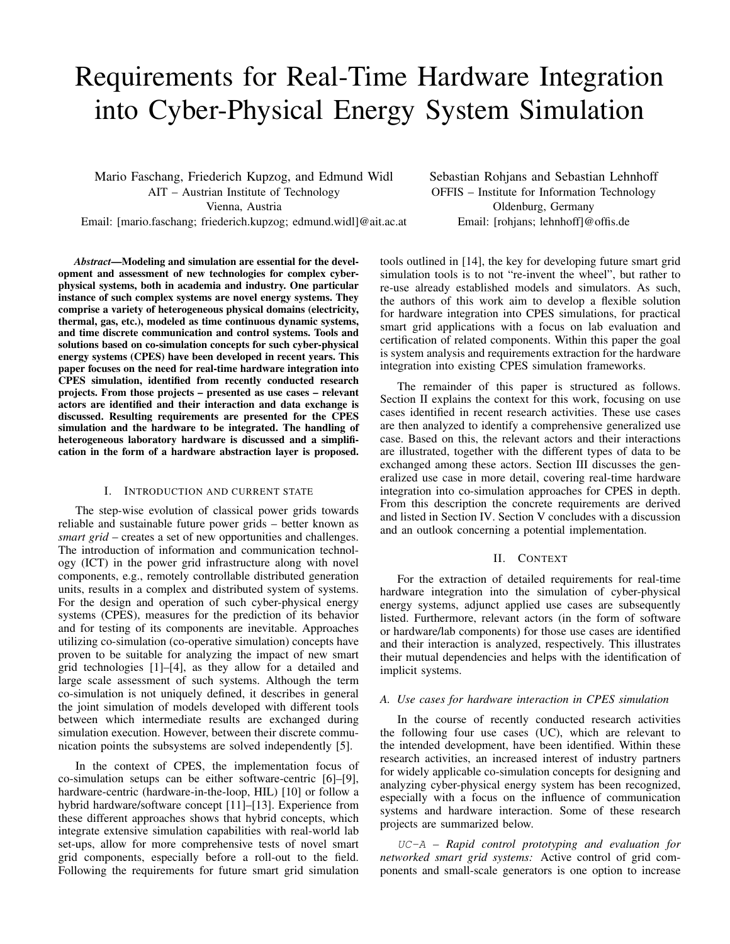# Requirements for Real-Time Hardware Integration into Cyber-Physical Energy System Simulation

Mario Faschang, Friederich Kupzog, and Edmund Widl AIT – Austrian Institute of Technology Vienna, Austria Email: [mario.faschang; friederich.kupzog; edmund.widl]@ait.ac.at Sebastian Rohjans and Sebastian Lehnhoff OFFIS – Institute for Information Technology Oldenburg, Germany Email: [rohjans; lehnhoff]@offis.de

*Abstract*—Modeling and simulation are essential for the development and assessment of new technologies for complex cyberphysical systems, both in academia and industry. One particular instance of such complex systems are novel energy systems. They comprise a variety of heterogeneous physical domains (electricity, thermal, gas, etc.), modeled as time continuous dynamic systems, and time discrete communication and control systems. Tools and solutions based on co-simulation concepts for such cyber-physical energy systems (CPES) have been developed in recent years. This paper focuses on the need for real-time hardware integration into CPES simulation, identified from recently conducted research projects. From those projects – presented as use cases – relevant actors are identified and their interaction and data exchange is discussed. Resulting requirements are presented for the CPES simulation and the hardware to be integrated. The handling of heterogeneous laboratory hardware is discussed and a simplification in the form of a hardware abstraction layer is proposed.

## I. INTRODUCTION AND CURRENT STATE

The step-wise evolution of classical power grids towards reliable and sustainable future power grids – better known as *smart grid* – creates a set of new opportunities and challenges. The introduction of information and communication technology (ICT) in the power grid infrastructure along with novel components, e.g., remotely controllable distributed generation units, results in a complex and distributed system of systems. For the design and operation of such cyber-physical energy systems (CPES), measures for the prediction of its behavior and for testing of its components are inevitable. Approaches utilizing co-simulation (co-operative simulation) concepts have proven to be suitable for analyzing the impact of new smart grid technologies [1]–[4], as they allow for a detailed and large scale assessment of such systems. Although the term co-simulation is not uniquely defined, it describes in general the joint simulation of models developed with different tools between which intermediate results are exchanged during simulation execution. However, between their discrete communication points the subsystems are solved independently [5].

In the context of CPES, the implementation focus of co-simulation setups can be either software-centric [6]–[9], hardware-centric (hardware-in-the-loop, HIL) [10] or follow a hybrid hardware/software concept [11]–[13]. Experience from these different approaches shows that hybrid concepts, which integrate extensive simulation capabilities with real-world lab set-ups, allow for more comprehensive tests of novel smart grid components, especially before a roll-out to the field. Following the requirements for future smart grid simulation tools outlined in [14], the key for developing future smart grid simulation tools is to not "re-invent the wheel", but rather to re-use already established models and simulators. As such, the authors of this work aim to develop a flexible solution for hardware integration into CPES simulations, for practical smart grid applications with a focus on lab evaluation and certification of related components. Within this paper the goal is system analysis and requirements extraction for the hardware integration into existing CPES simulation frameworks.

The remainder of this paper is structured as follows. Section II explains the context for this work, focusing on use cases identified in recent research activities. These use cases are then analyzed to identify a comprehensive generalized use case. Based on this, the relevant actors and their interactions are illustrated, together with the different types of data to be exchanged among these actors. Section III discusses the generalized use case in more detail, covering real-time hardware integration into co-simulation approaches for CPES in depth. From this description the concrete requirements are derived and listed in Section IV. Section V concludes with a discussion and an outlook concerning a potential implementation.

#### II. CONTEXT

For the extraction of detailed requirements for real-time hardware integration into the simulation of cyber-physical energy systems, adjunct applied use cases are subsequently listed. Furthermore, relevant actors (in the form of software or hardware/lab components) for those use cases are identified and their interaction is analyzed, respectively. This illustrates their mutual dependencies and helps with the identification of implicit systems.

#### *A. Use cases for hardware interaction in CPES simulation*

In the course of recently conducted research activities the following four use cases (UC), which are relevant to the intended development, have been identified. Within these research activities, an increased interest of industry partners for widely applicable co-simulation concepts for designing and analyzing cyber-physical energy system has been recognized, especially with a focus on the influence of communication systems and hardware interaction. Some of these research projects are summarized below.

UC-A *– Rapid control prototyping and evaluation for networked smart grid systems:* Active control of grid components and small-scale generators is one option to increase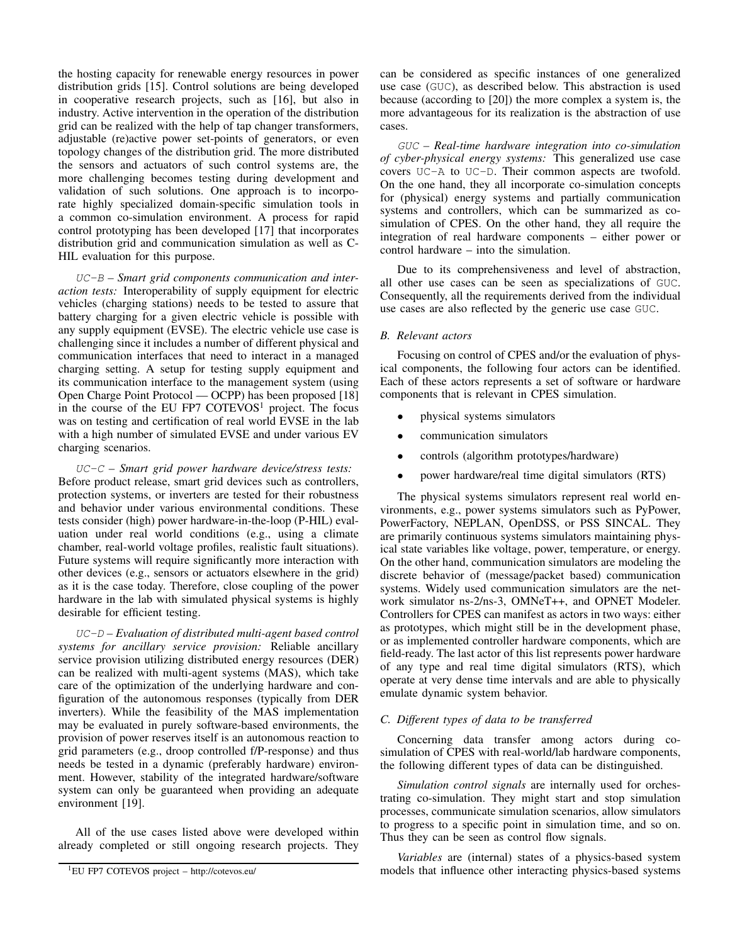the hosting capacity for renewable energy resources in power distribution grids [15]. Control solutions are being developed in cooperative research projects, such as [16], but also in industry. Active intervention in the operation of the distribution grid can be realized with the help of tap changer transformers, adjustable (re)active power set-points of generators, or even topology changes of the distribution grid. The more distributed the sensors and actuators of such control systems are, the more challenging becomes testing during development and validation of such solutions. One approach is to incorporate highly specialized domain-specific simulation tools in a common co-simulation environment. A process for rapid control prototyping has been developed [17] that incorporates distribution grid and communication simulation as well as C-HIL evaluation for this purpose.

UC-B *– Smart grid components communication and interaction tests:* Interoperability of supply equipment for electric vehicles (charging stations) needs to be tested to assure that battery charging for a given electric vehicle is possible with any supply equipment (EVSE). The electric vehicle use case is challenging since it includes a number of different physical and communication interfaces that need to interact in a managed charging setting. A setup for testing supply equipment and its communication interface to the management system (using Open Charge Point Protocol — OCPP) has been proposed [18] in the course of the EU FP7  $COTEVOS<sup>1</sup>$  project. The focus was on testing and certification of real world EVSE in the lab with a high number of simulated EVSE and under various EV charging scenarios.

UC-C *– Smart grid power hardware device/stress tests:* Before product release, smart grid devices such as controllers, protection systems, or inverters are tested for their robustness and behavior under various environmental conditions. These tests consider (high) power hardware-in-the-loop (P-HIL) evaluation under real world conditions (e.g., using a climate chamber, real-world voltage profiles, realistic fault situations). Future systems will require significantly more interaction with other devices (e.g., sensors or actuators elsewhere in the grid) as it is the case today. Therefore, close coupling of the power hardware in the lab with simulated physical systems is highly desirable for efficient testing.

UC-D *– Evaluation of distributed multi-agent based control systems for ancillary service provision:* Reliable ancillary service provision utilizing distributed energy resources (DER) can be realized with multi-agent systems (MAS), which take care of the optimization of the underlying hardware and configuration of the autonomous responses (typically from DER inverters). While the feasibility of the MAS implementation may be evaluated in purely software-based environments, the provision of power reserves itself is an autonomous reaction to grid parameters (e.g., droop controlled f/P-response) and thus needs be tested in a dynamic (preferably hardware) environment. However, stability of the integrated hardware/software system can only be guaranteed when providing an adequate environment [19].

All of the use cases listed above were developed within already completed or still ongoing research projects. They can be considered as specific instances of one generalized use case (GUC), as described below. This abstraction is used because (according to [20]) the more complex a system is, the more advantageous for its realization is the abstraction of use cases.

GUC *– Real-time hardware integration into co-simulation of cyber-physical energy systems:* This generalized use case covers UC-A to UC-D. Their common aspects are twofold. On the one hand, they all incorporate co-simulation concepts for (physical) energy systems and partially communication systems and controllers, which can be summarized as cosimulation of CPES. On the other hand, they all require the integration of real hardware components – either power or control hardware – into the simulation.

Due to its comprehensiveness and level of abstraction, all other use cases can be seen as specializations of GUC. Consequently, all the requirements derived from the individual use cases are also reflected by the generic use case GUC.

## *B. Relevant actors*

Focusing on control of CPES and/or the evaluation of physical components, the following four actors can be identified. Each of these actors represents a set of software or hardware components that is relevant in CPES simulation.

- physical systems simulators
- communication simulators
- controls (algorithm prototypes/hardware)
- power hardware/real time digital simulators (RTS)

The physical systems simulators represent real world environments, e.g., power systems simulators such as PyPower, PowerFactory, NEPLAN, OpenDSS, or PSS SINCAL. They are primarily continuous systems simulators maintaining physical state variables like voltage, power, temperature, or energy. On the other hand, communication simulators are modeling the discrete behavior of (message/packet based) communication systems. Widely used communication simulators are the network simulator ns-2/ns-3, OMNeT++, and OPNET Modeler. Controllers for CPES can manifest as actors in two ways: either as prototypes, which might still be in the development phase, or as implemented controller hardware components, which are field-ready. The last actor of this list represents power hardware of any type and real time digital simulators (RTS), which operate at very dense time intervals and are able to physically emulate dynamic system behavior.

## *C. Different types of data to be transferred*

Concerning data transfer among actors during cosimulation of CPES with real-world/lab hardware components, the following different types of data can be distinguished.

*Simulation control signals* are internally used for orchestrating co-simulation. They might start and stop simulation processes, communicate simulation scenarios, allow simulators to progress to a specific point in simulation time, and so on. Thus they can be seen as control flow signals.

*Variables* are (internal) states of a physics-based system models that influence other interacting physics-based systems

<sup>1</sup>EU FP7 COTEVOS project – http://cotevos.eu/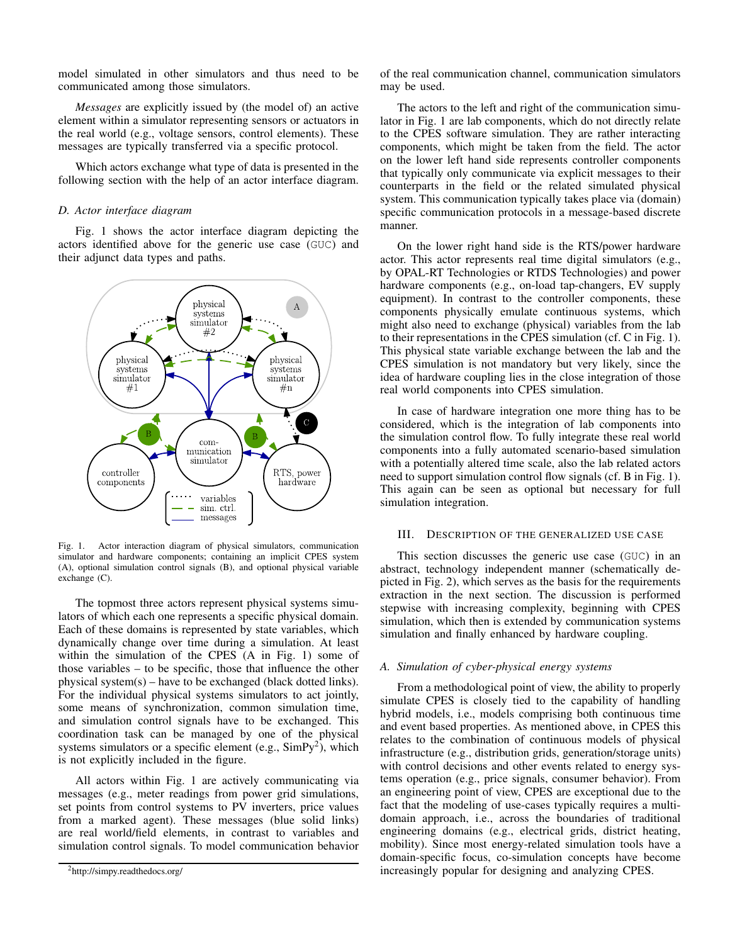model simulated in other simulators and thus need to be communicated among those simulators.

*Messages* are explicitly issued by (the model of) an active element within a simulator representing sensors or actuators in the real world (e.g., voltage sensors, control elements). These messages are typically transferred via a specific protocol.

Which actors exchange what type of data is presented in the following section with the help of an actor interface diagram.

## *D. Actor interface diagram*

Fig. 1 shows the actor interface diagram depicting the actors identified above for the generic use case (GUC) and their adjunct data types and paths.



Fig. 1. Actor interaction diagram of physical simulators, communication simulator and hardware components; containing an implicit CPES system (A), optional simulation control signals (B), and optional physical variable exchange (C).

The topmost three actors represent physical systems simulators of which each one represents a specific physical domain. Each of these domains is represented by state variables, which dynamically change over time during a simulation. At least within the simulation of the CPES (A in Fig. 1) some of those variables – to be specific, those that influence the other physical system(s) – have to be exchanged (black dotted links). For the individual physical systems simulators to act jointly, some means of synchronization, common simulation time, and simulation control signals have to be exchanged. This coordination task can be managed by one of the physical systems simulators or a specific element (e.g.,  $\text{SimPy}^2$ ), which is not explicitly included in the figure.

All actors within Fig. 1 are actively communicating via messages (e.g., meter readings from power grid simulations, set points from control systems to PV inverters, price values from a marked agent). These messages (blue solid links) are real world/field elements, in contrast to variables and simulation control signals. To model communication behavior

of the real communication channel, communication simulators may be used.

The actors to the left and right of the communication simulator in Fig. 1 are lab components, which do not directly relate to the CPES software simulation. They are rather interacting components, which might be taken from the field. The actor on the lower left hand side represents controller components that typically only communicate via explicit messages to their counterparts in the field or the related simulated physical system. This communication typically takes place via (domain) specific communication protocols in a message-based discrete manner.

On the lower right hand side is the RTS/power hardware actor. This actor represents real time digital simulators (e.g., by OPAL-RT Technologies or RTDS Technologies) and power hardware components (e.g., on-load tap-changers, EV supply equipment). In contrast to the controller components, these components physically emulate continuous systems, which might also need to exchange (physical) variables from the lab to their representations in the CPES simulation (cf. C in Fig. 1). This physical state variable exchange between the lab and the CPES simulation is not mandatory but very likely, since the idea of hardware coupling lies in the close integration of those real world components into CPES simulation.

In case of hardware integration one more thing has to be considered, which is the integration of lab components into the simulation control flow. To fully integrate these real world components into a fully automated scenario-based simulation with a potentially altered time scale, also the lab related actors need to support simulation control flow signals (cf. B in Fig. 1). This again can be seen as optional but necessary for full simulation integration.

## III. DESCRIPTION OF THE GENERALIZED USE CASE

This section discusses the generic use case (GUC) in an abstract, technology independent manner (schematically depicted in Fig. 2), which serves as the basis for the requirements extraction in the next section. The discussion is performed stepwise with increasing complexity, beginning with CPES simulation, which then is extended by communication systems simulation and finally enhanced by hardware coupling.

#### *A. Simulation of cyber-physical energy systems*

From a methodological point of view, the ability to properly simulate CPES is closely tied to the capability of handling hybrid models, i.e., models comprising both continuous time and event based properties. As mentioned above, in CPES this relates to the combination of continuous models of physical infrastructure (e.g., distribution grids, generation/storage units) with control decisions and other events related to energy systems operation (e.g., price signals, consumer behavior). From an engineering point of view, CPES are exceptional due to the fact that the modeling of use-cases typically requires a multidomain approach, i.e., across the boundaries of traditional engineering domains (e.g., electrical grids, district heating, mobility). Since most energy-related simulation tools have a domain-specific focus, co-simulation concepts have become increasingly popular for designing and analyzing CPES.

<sup>2</sup>http://simpy.readthedocs.org/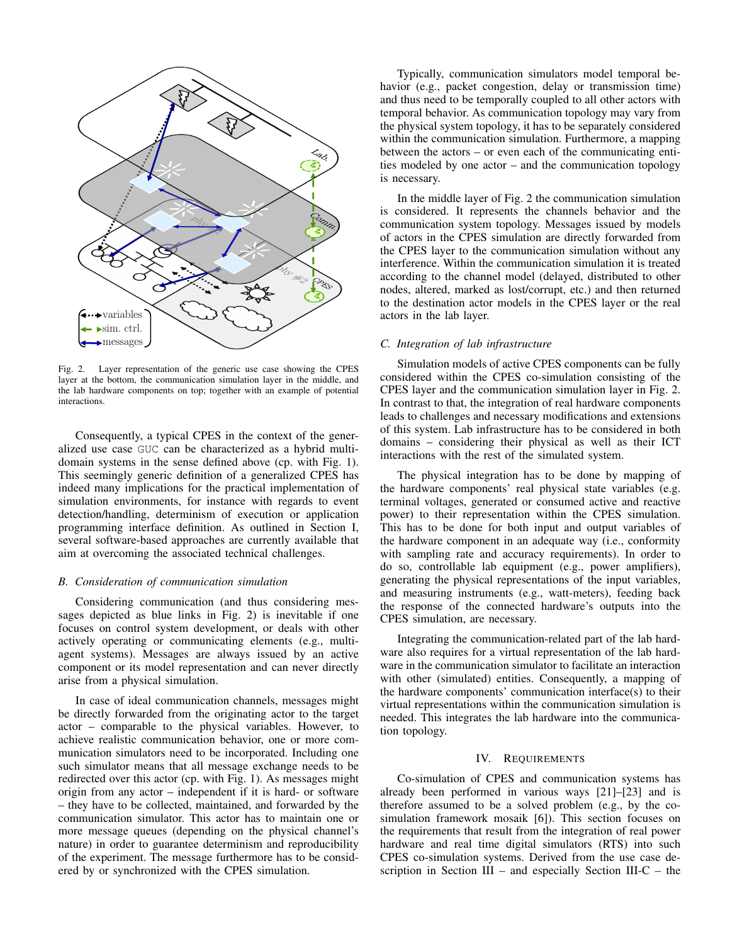

Fig. 2. Layer representation of the generic use case showing the CPES layer at the bottom, the communication simulation layer in the middle, and the lab hardware components on top; together with an example of potential interactions.

Consequently, a typical CPES in the context of the generalized use case GUC can be characterized as a hybrid multidomain systems in the sense defined above (cp. with Fig. 1). This seemingly generic definition of a generalized CPES has indeed many implications for the practical implementation of simulation environments, for instance with regards to event detection/handling, determinism of execution or application programming interface definition. As outlined in Section I, several software-based approaches are currently available that aim at overcoming the associated technical challenges.

## *B. Consideration of communication simulation*

Considering communication (and thus considering messages depicted as blue links in Fig. 2) is inevitable if one focuses on control system development, or deals with other actively operating or communicating elements (e.g., multiagent systems). Messages are always issued by an active component or its model representation and can never directly arise from a physical simulation.

In case of ideal communication channels, messages might be directly forwarded from the originating actor to the target actor – comparable to the physical variables. However, to achieve realistic communication behavior, one or more communication simulators need to be incorporated. Including one such simulator means that all message exchange needs to be redirected over this actor (cp. with Fig. 1). As messages might origin from any actor – independent if it is hard- or software – they have to be collected, maintained, and forwarded by the communication simulator. This actor has to maintain one or more message queues (depending on the physical channel's nature) in order to guarantee determinism and reproducibility of the experiment. The message furthermore has to be considered by or synchronized with the CPES simulation.

Typically, communication simulators model temporal behavior (e.g., packet congestion, delay or transmission time) and thus need to be temporally coupled to all other actors with temporal behavior. As communication topology may vary from the physical system topology, it has to be separately considered within the communication simulation. Furthermore, a mapping between the actors – or even each of the communicating entities modeled by one actor – and the communication topology is necessary.

In the middle layer of Fig. 2 the communication simulation is considered. It represents the channels behavior and the communication system topology. Messages issued by models of actors in the CPES simulation are directly forwarded from the CPES layer to the communication simulation without any interference. Within the communication simulation it is treated according to the channel model (delayed, distributed to other nodes, altered, marked as lost/corrupt, etc.) and then returned to the destination actor models in the CPES layer or the real actors in the lab layer.

#### *C. Integration of lab infrastructure*

Simulation models of active CPES components can be fully considered within the CPES co-simulation consisting of the CPES layer and the communication simulation layer in Fig. 2. In contrast to that, the integration of real hardware components leads to challenges and necessary modifications and extensions of this system. Lab infrastructure has to be considered in both domains – considering their physical as well as their ICT interactions with the rest of the simulated system.

The physical integration has to be done by mapping of the hardware components' real physical state variables (e.g. terminal voltages, generated or consumed active and reactive power) to their representation within the CPES simulation. This has to be done for both input and output variables of the hardware component in an adequate way (i.e., conformity with sampling rate and accuracy requirements). In order to do so, controllable lab equipment (e.g., power amplifiers), generating the physical representations of the input variables, and measuring instruments (e.g., watt-meters), feeding back the response of the connected hardware's outputs into the CPES simulation, are necessary.

Integrating the communication-related part of the lab hardware also requires for a virtual representation of the lab hardware in the communication simulator to facilitate an interaction with other (simulated) entities. Consequently, a mapping of the hardware components' communication interface(s) to their virtual representations within the communication simulation is needed. This integrates the lab hardware into the communication topology.

#### IV. REQUIREMENTS

Co-simulation of CPES and communication systems has already been performed in various ways [21]–[23] and is therefore assumed to be a solved problem (e.g., by the cosimulation framework mosaik [6]). This section focuses on the requirements that result from the integration of real power hardware and real time digital simulators (RTS) into such CPES co-simulation systems. Derived from the use case description in Section III – and especially Section III-C – the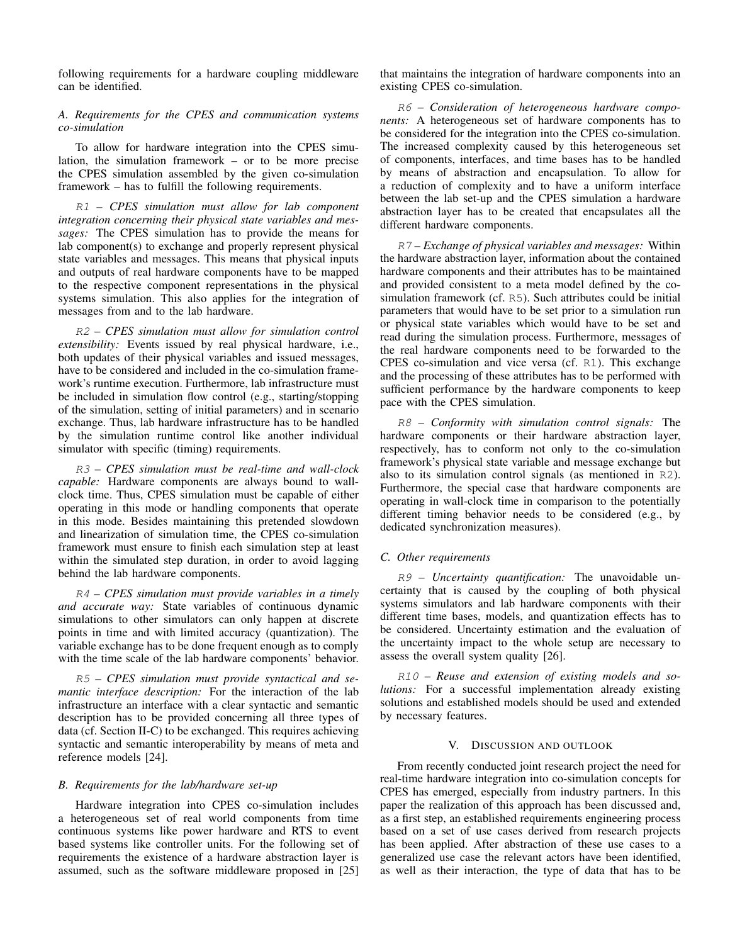following requirements for a hardware coupling middleware can be identified.

## *A. Requirements for the CPES and communication systems co-simulation*

To allow for hardware integration into the CPES simulation, the simulation framework – or to be more precise the CPES simulation assembled by the given co-simulation framework – has to fulfill the following requirements.

R1 *– CPES simulation must allow for lab component integration concerning their physical state variables and messages:* The CPES simulation has to provide the means for lab component(s) to exchange and properly represent physical state variables and messages. This means that physical inputs and outputs of real hardware components have to be mapped to the respective component representations in the physical systems simulation. This also applies for the integration of messages from and to the lab hardware.

R2 *– CPES simulation must allow for simulation control extensibility:* Events issued by real physical hardware, i.e., both updates of their physical variables and issued messages, have to be considered and included in the co-simulation framework's runtime execution. Furthermore, lab infrastructure must be included in simulation flow control (e.g., starting/stopping of the simulation, setting of initial parameters) and in scenario exchange. Thus, lab hardware infrastructure has to be handled by the simulation runtime control like another individual simulator with specific (timing) requirements.

R3 *– CPES simulation must be real-time and wall-clock capable:* Hardware components are always bound to wallclock time. Thus, CPES simulation must be capable of either operating in this mode or handling components that operate in this mode. Besides maintaining this pretended slowdown and linearization of simulation time, the CPES co-simulation framework must ensure to finish each simulation step at least within the simulated step duration, in order to avoid lagging behind the lab hardware components.

R4 *– CPES simulation must provide variables in a timely and accurate way:* State variables of continuous dynamic simulations to other simulators can only happen at discrete points in time and with limited accuracy (quantization). The variable exchange has to be done frequent enough as to comply with the time scale of the lab hardware components' behavior.

R5 *– CPES simulation must provide syntactical and semantic interface description:* For the interaction of the lab infrastructure an interface with a clear syntactic and semantic description has to be provided concerning all three types of data (cf. Section II-C) to be exchanged. This requires achieving syntactic and semantic interoperability by means of meta and reference models [24].

## *B. Requirements for the lab/hardware set-up*

Hardware integration into CPES co-simulation includes a heterogeneous set of real world components from time continuous systems like power hardware and RTS to event based systems like controller units. For the following set of requirements the existence of a hardware abstraction layer is assumed, such as the software middleware proposed in [25] that maintains the integration of hardware components into an existing CPES co-simulation.

R6 *– Consideration of heterogeneous hardware components:* A heterogeneous set of hardware components has to be considered for the integration into the CPES co-simulation. The increased complexity caused by this heterogeneous set of components, interfaces, and time bases has to be handled by means of abstraction and encapsulation. To allow for a reduction of complexity and to have a uniform interface between the lab set-up and the CPES simulation a hardware abstraction layer has to be created that encapsulates all the different hardware components.

R7 *– Exchange of physical variables and messages:* Within the hardware abstraction layer, information about the contained hardware components and their attributes has to be maintained and provided consistent to a meta model defined by the cosimulation framework (cf. R5). Such attributes could be initial parameters that would have to be set prior to a simulation run or physical state variables which would have to be set and read during the simulation process. Furthermore, messages of the real hardware components need to be forwarded to the CPES co-simulation and vice versa (cf. R1). This exchange and the processing of these attributes has to be performed with sufficient performance by the hardware components to keep pace with the CPES simulation.

R8 *– Conformity with simulation control signals:* The hardware components or their hardware abstraction layer, respectively, has to conform not only to the co-simulation framework's physical state variable and message exchange but also to its simulation control signals (as mentioned in R2). Furthermore, the special case that hardware components are operating in wall-clock time in comparison to the potentially different timing behavior needs to be considered (e.g., by dedicated synchronization measures).

## *C. Other requirements*

R9 *– Uncertainty quantification:* The unavoidable uncertainty that is caused by the coupling of both physical systems simulators and lab hardware components with their different time bases, models, and quantization effects has to be considered. Uncertainty estimation and the evaluation of the uncertainty impact to the whole setup are necessary to assess the overall system quality [26].

R10 *– Reuse and extension of existing models and solutions:* For a successful implementation already existing solutions and established models should be used and extended by necessary features.

#### V. DISCUSSION AND OUTLOOK

From recently conducted joint research project the need for real-time hardware integration into co-simulation concepts for CPES has emerged, especially from industry partners. In this paper the realization of this approach has been discussed and, as a first step, an established requirements engineering process based on a set of use cases derived from research projects has been applied. After abstraction of these use cases to a generalized use case the relevant actors have been identified, as well as their interaction, the type of data that has to be